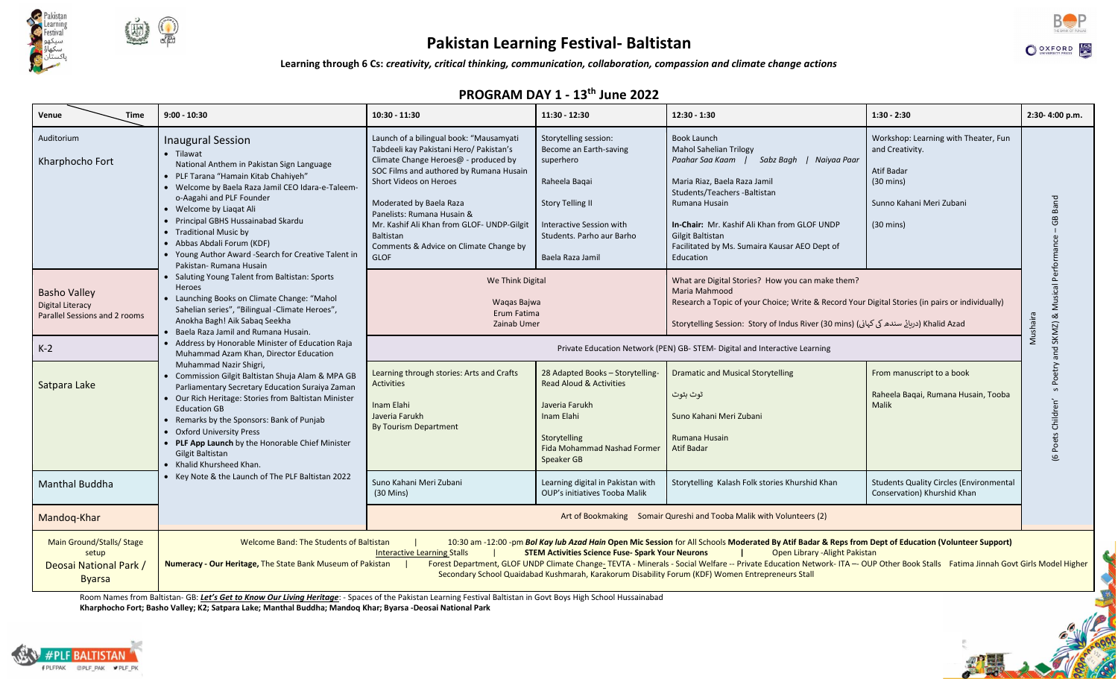

# **Pakistan Learning Festival- Baltistan**

**Learning through 6 Cs:** *creativity, critical thinking, communication, collaboration, compassion and climate change actions*

## **PROGRAM DAY 1 - 13th June 2022**

| Venue<br><b>Time</b>                                                        | $9:00 - 10:30$                                                                                                                                                                                                                                                                                                                                                                                                                                                                                                                                                                                                                                                                          | 10:30 - 11:30                                                                                                                                                                                                                                                                                                                                                                | 11:30 - 12:30                                                                                                                                                                         | 12:30 - 1:30                                                                                                                                                                                                                                                                                                           | $1:30 - 2:30$                                                                                                                                   | 2:30-4:00 p.m.                 |  |  |  |  |
|-----------------------------------------------------------------------------|-----------------------------------------------------------------------------------------------------------------------------------------------------------------------------------------------------------------------------------------------------------------------------------------------------------------------------------------------------------------------------------------------------------------------------------------------------------------------------------------------------------------------------------------------------------------------------------------------------------------------------------------------------------------------------------------|------------------------------------------------------------------------------------------------------------------------------------------------------------------------------------------------------------------------------------------------------------------------------------------------------------------------------------------------------------------------------|---------------------------------------------------------------------------------------------------------------------------------------------------------------------------------------|------------------------------------------------------------------------------------------------------------------------------------------------------------------------------------------------------------------------------------------------------------------------------------------------------------------------|-------------------------------------------------------------------------------------------------------------------------------------------------|--------------------------------|--|--|--|--|
| Auditorium<br>Kharphocho Fort                                               | <b>Inaugural Session</b><br>• Tilawat<br>National Anthem in Pakistan Sign Language<br>• PLF Tarana "Hamain Kitab Chahiyeh"<br>• Welcome by Baela Raza Jamil CEO Idara-e-Taleem-<br>o-Aagahi and PLF Founder<br>• Welcome by Liagat Ali<br>Principal GBHS Hussainabad Skardu<br>• Traditional Music by<br>• Abbas Abdali Forum (KDF)<br>• Young Author Award -Search for Creative Talent in<br>Pakistan- Rumana Husain<br>Saluting Young Talent from Baltistan: Sports<br>Heroes<br>Launching Books on Climate Change: "Mahol<br>Sahelian series", "Bilingual -Climate Heroes",<br>Anokha Bagh! Aik Sabag Seekha<br>Baela Raza Jamil and Rumana Husain.                                  | Launch of a bilingual book: "Mausamyati<br>Tabdeeli kay Pakistani Hero/ Pakistan's<br>Climate Change Heroes@ - produced by<br>SOC Films and authored by Rumana Husain<br>Short Videos on Heroes<br>Moderated by Baela Raza<br>Panelists: Rumana Husain &<br>Mr. Kashif Ali Khan from GLOF- UNDP-Gilgit<br>Baltistan<br>Comments & Advice on Climate Change by<br><b>GLOF</b> | Storytelling session:<br>Become an Earth-saving<br>superhero<br>Raheela Baqai<br><b>Story Telling II</b><br>Interactive Session with<br>Students, Parho aur Barho<br>Baela Raza Jamil | <b>Book Launch</b><br><b>Mahol Sahelian Trilogy</b><br>Sabz Bagh   Naiyaa Paar<br>Paahar Saa Kaam  <br>Maria Riaz, Baela Raza Jamil<br>Students/Teachers -Baltistan<br>Rumana Husain<br>In-Chair: Mr. Kashif Ali Khan from GLOF UNDP<br>Gilgit Baltistan<br>Facilitated by Ms. Sumaira Kausar AEO Dept of<br>Education | Workshop: Learning with Theater, Fun<br>and Creativity.<br>Atif Badar<br>$(30 \text{ mins})$<br>Sunno Kahani Meri Zubani<br>$(30 \text{ mins})$ |                                |  |  |  |  |
| <b>Basho Valley</b><br>Digital Literacy<br>Parallel Sessions and 2 rooms    |                                                                                                                                                                                                                                                                                                                                                                                                                                                                                                                                                                                                                                                                                         | We Think Digital<br>Waqas Bajwa<br>Erum Fatima<br>Zainab Umer                                                                                                                                                                                                                                                                                                                |                                                                                                                                                                                       | What are Digital Stories? How you can make them?<br>Maria Mahmood<br>Research a Topic of your Choice; Write & Record Your Digital Stories (in pairs or individually)<br>Khalid Azad (دربائے سندھ کی کہانی) (Storytelling Session:  Story of Indus River (30 mins                                                       |                                                                                                                                                 | nd SKMZ) & Musical<br>Mushaira |  |  |  |  |
| $K-2$                                                                       | • Address by Honorable Minister of Education Raja<br>Muhammad Azam Khan, Director Education                                                                                                                                                                                                                                                                                                                                                                                                                                                                                                                                                                                             | Private Education Network (PEN) GB- STEM- Digital and Interactive Learning                                                                                                                                                                                                                                                                                                   |                                                                                                                                                                                       |                                                                                                                                                                                                                                                                                                                        |                                                                                                                                                 |                                |  |  |  |  |
| Satpara Lake                                                                | Muhammad Nazir Shigri,<br>Commission Gilgit Baltistan Shuja Alam & MPA GB<br>Parliamentary Secretary Education Suraiya Zaman<br>Our Rich Heritage: Stories from Baltistan Minister<br><b>Education GB</b><br>Remarks by the Sponsors: Bank of Punjab<br><b>Oxford University Press</b><br>PLF App Launch by the Honorable Chief Minister<br>Gilgit Baltistan<br>Khalid Khursheed Khan.<br>Key Note & the Launch of The PLF Baltistan 2022                                                                                                                                                                                                                                               | Learning through stories: Arts and Crafts<br><b>Activities</b><br>Inam Elahi<br>Javeria Farukh<br><b>By Tourism Department</b>                                                                                                                                                                                                                                               | 28 Adapted Books - Storytelling-<br><b>Read Aloud &amp; Activities</b><br>Javeria Farukh<br>Inam Elahi<br>Storytelling<br>Fida Mohammad Nashad Former<br>Speaker GB                   | <b>Dramatic and Musical Storytelling</b><br>ٹوٹ بٹوٹ<br>Suno Kahani Meri Zubani<br>Rumana Husain<br><b>Atif Badar</b>                                                                                                                                                                                                  | From manuscript to a book<br>Raheela Baqai, Rumana Husain, Tooba<br><b>Malik</b>                                                                | Children<br>Poets<br>$\omega$  |  |  |  |  |
| <b>Manthal Buddha</b>                                                       |                                                                                                                                                                                                                                                                                                                                                                                                                                                                                                                                                                                                                                                                                         | Suno Kahani Meri Zubani<br>$(30 \text{ Mins})$                                                                                                                                                                                                                                                                                                                               | Learning digital in Pakistan with<br>OUP's initiatives Tooba Malik                                                                                                                    | Storytelling Kalash Folk stories Khurshid Khan                                                                                                                                                                                                                                                                         | <b>Students Quality Circles (Environmental</b><br>Conservation) Khurshid Khan                                                                   |                                |  |  |  |  |
| Mandoq-Khar                                                                 |                                                                                                                                                                                                                                                                                                                                                                                                                                                                                                                                                                                                                                                                                         | Art of Bookmaking Somair Qureshi and Tooba Malik with Volunteers (2)                                                                                                                                                                                                                                                                                                         |                                                                                                                                                                                       |                                                                                                                                                                                                                                                                                                                        |                                                                                                                                                 |                                |  |  |  |  |
| Main Ground/Stalls/ Stage<br>setup<br>Deosai National Park<br><b>Byarsa</b> | Welcome Band: The Students of Baltistan<br>10:30 am -12:00 -pm Bol Kay lub Azad Hain Open Mic Session for All Schools Moderated By Atif Badar & Reps from Dept of Education (Volunteer Support)<br><b>Interactive Learning Stalls</b><br><b>STEM Activities Science Fuse- Spark Your Neurons</b><br>Open Library - Alight Pakistan<br>Numeracy - Our Heritage, The State Bank Museum of Pakistan<br>Forest Department, GLOF UNDP Climate Change- TEVTA - Minerals - Social Welfare -- Private Education Network- ITA -- OUP Other Book Stalls Fatima Jinnah Govt Girls Model Higher<br>Secondary School Quaidabad Kushmarah, Karakorum Disability Forum (KDF) Women Entrepreneurs Stall |                                                                                                                                                                                                                                                                                                                                                                              |                                                                                                                                                                                       |                                                                                                                                                                                                                                                                                                                        |                                                                                                                                                 |                                |  |  |  |  |

Room Names from Baltistan- GB: *Let's Get to Know Our Living Heritage*: - Spaces of the Pakistan Learning Festival Baltistan in Govt Boys High School Hussainabad **Kharphocho Fort; Basho Valley; K2; Satpara Lake; Manthal Buddha; Mandoq Khar; Byarsa -Deosai National Park**







**CALL AND READY**